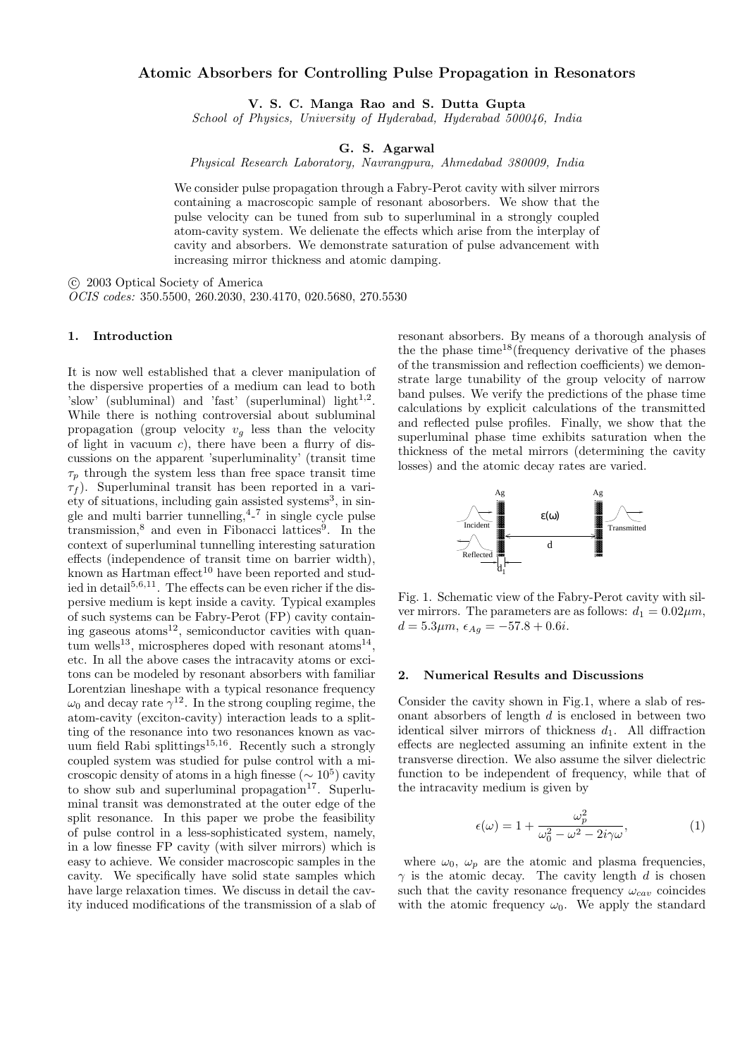## Atomic Absorbers for Controlling Pulse Propagation in Resonators

V. S. C. Manga Rao and S. Dutta Gupta

School of Physics, University of Hyderabad, Hyderabad 500046, India

# G. S. Agarwal

Physical Research Laboratory, Navrangpura, Ahmedabad 380009, India

We consider pulse propagation through a Fabry-Perot cavity with silver mirrors containing a macroscopic sample of resonant abosorbers. We show that the pulse velocity can be tuned from sub to superluminal in a strongly coupled atom-cavity system. We delienate the effects which arise from the interplay of cavity and absorbers. We demonstrate saturation of pulse advancement with increasing mirror thickness and atomic damping.

°c 2003 Optical Society of America

OCIS codes: 350.5500, 260.2030, 230.4170, 020.5680, 270.5530

### 1. Introduction

It is now well established that a clever manipulation of the dispersive properties of a medium can lead to both 'slow' (subluminal) and 'fast' (superluminal) light $^{1,2}$ . While there is nothing controversial about subluminal propagation (group velocity  $v<sub>g</sub>$  less than the velocity of light in vacuum c), there have been a flurry of discussions on the apparent 'superluminality' (transit time  $\tau_p$  through the system less than free space transit time  $\tau_f$ ). Superluminal transit has been reported in a variety of situations, including gain assisted systems<sup>3</sup>, in single and multi barrier tunnelling, <sup>4</sup>-<sup>7</sup> in single cycle pulse transmission,<sup>8</sup> and even in Fibonacci lattices<sup>9</sup>. In the context of superluminal tunnelling interesting saturation effects (independence of transit time on barrier width), known as Hartman effect<sup>10</sup> have been reported and studied in detail<sup>5,6,11</sup>. The effects can be even richer if the dispersive medium is kept inside a cavity. Typical examples of such systems can be Fabry-Perot (FP) cavity containing gaseous atoms<sup>12</sup>, semiconductor cavities with quantum wells<sup>13</sup>, microspheres doped with resonant atoms<sup>14</sup>, etc. In all the above cases the intracavity atoms or excitons can be modeled by resonant absorbers with familiar Lorentzian lineshape with a typical resonance frequency  $\omega_0$  and decay rate  $\gamma^{12}$ . In the strong coupling regime, the atom-cavity (exciton-cavity) interaction leads to a splitting of the resonance into two resonances known as vacuum field Rabi splittings<sup>15,16</sup>. Recently such a strongly coupled system was studied for pulse control with a microscopic density of atoms in a high finesse  $({\sim 10^5})$  cavity to show sub and superluminal propagation<sup>17</sup>. Superluminal transit was demonstrated at the outer edge of the split resonance. In this paper we probe the feasibility of pulse control in a less-sophisticated system, namely, in a low finesse FP cavity (with silver mirrors) which is easy to achieve. We consider macroscopic samples in the cavity. We specifically have solid state samples which have large relaxation times. We discuss in detail the cavity induced modifications of the transmission of a slab of resonant absorbers. By means of a thorough analysis of the the phase time<sup>18</sup>(frequency derivative of the phases of the transmission and reflection coefficients) we demonstrate large tunability of the group velocity of narrow band pulses. We verify the predictions of the phase time calculations by explicit calculations of the transmitted and reflected pulse profiles. Finally, we show that the superluminal phase time exhibits saturation when the thickness of the metal mirrors (determining the cavity losses) and the atomic decay rates are varied.



Fig. 1. Schematic view of the Fabry-Perot cavity with silver mirrors. The parameters are as follows:  $d_1 = 0.02 \mu m$ ,  $d = 5.3 \mu m, \ \epsilon_{Ag} = -57.8 + 0.6i.$ 

#### 2. Numerical Results and Discussions

Consider the cavity shown in Fig.1, where a slab of resonant absorbers of length  $d$  is enclosed in between two identical silver mirrors of thickness  $d_1$ . All diffraction effects are neglected assuming an infinite extent in the transverse direction. We also assume the silver dielectric function to be independent of frequency, while that of the intracavity medium is given by

$$
\epsilon(\omega) = 1 + \frac{\omega_p^2}{\omega_0^2 - \omega^2 - 2i\gamma\omega},\tag{1}
$$

where  $\omega_0$ ,  $\omega_p$  are the atomic and plasma frequencies,  $\gamma$  is the atomic decay. The cavity length d is chosen such that the cavity resonance frequency  $\omega_{cav}$  coincides with the atomic frequency  $\omega_0$ . We apply the standard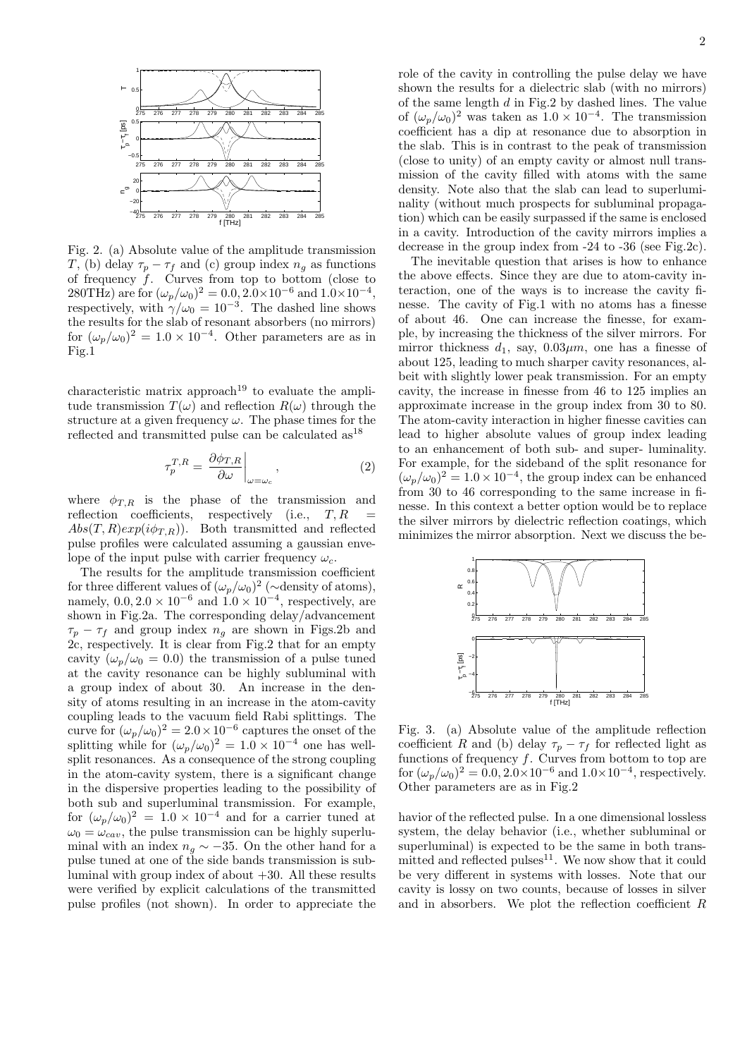

Fig. 2. (a) Absolute value of the amplitude transmission T, (b) delay  $\tau_p - \tau_f$  and (c) group index  $n_g$  as functions of frequency  $\dot{f}$ . Curves from top to bottom (close to 280THz) are for  $(\omega_p/\omega_0)^2 = 0.0, 2.0 \times 10^{-6}$  and  $1.0 \times 10^{-4}$ , respectively, with  $\gamma/\omega_0 = 10^{-3}$ . The dashed line shows the results for the slab of resonant absorbers (no mirrors) for  $(\omega_p/\omega_0)^2 = 1.0 \times 10^{-4}$ . Other parameters are as in Fig.1

characteristic matrix approach<sup>19</sup> to evaluate the amplitude transmission  $T(\omega)$  and reflection  $R(\omega)$  through the structure at a given frequency  $\omega$ . The phase times for the reflected and transmitted pulse can be calculated  $as^{18}$ 

$$
\tau_p^{T,R} = \left. \frac{\partial \phi_{T,R}}{\partial \omega} \right|_{\omega = \omega_c},\tag{2}
$$

where  $\phi_{T,R}$  is the phase of the transmission and reflection coefficients, respectively (i.e.,  $T, R$  =  $Abs(T, R)exp(i\phi_{T,R})$ . Both transmitted and reflected pulse profiles were calculated assuming a gaussian envelope of the input pulse with carrier frequency  $\omega_c$ .

The results for the amplitude transmission coefficient for three different values of  $(\omega_p/\omega_0)^2$  ( $\sim$ density of atoms), namely,  $0.0, 2.0 \times 10^{-6}$  and  $1.0 \times 10^{-4}$ , respectively, are shown in Fig.2a. The corresponding delay/advancement  $\tau_p - \tau_f$  and group index  $n_q$  are shown in Figs.2b and 2c, respectively. It is clear from Fig.2 that for an empty cavity  $(\omega_p/\omega_0 = 0.0)$  the transmission of a pulse tuned at the cavity resonance can be highly subluminal with a group index of about 30. An increase in the density of atoms resulting in an increase in the atom-cavity coupling leads to the vacuum field Rabi splittings. The curve for  $(\omega_p/\omega_0)^2 = 2.0 \times 10^{-6}$  captures the onset of the splitting while for  $(\omega_p/\omega_0)^2 = 1.0 \times 10^{-4}$  one has wellsplit resonances. As a consequence of the strong coupling in the atom-cavity system, there is a significant change in the dispersive properties leading to the possibility of both sub and superluminal transmission. For example, for  $(\omega_p/\omega_0)^2 = 1.0 \times 10^{-4}$  and for a carrier tuned at  $\omega_0 = \omega_{cav}$ , the pulse transmission can be highly superluminal with an index  $n<sub>g</sub> \sim -35$ . On the other hand for a pulse tuned at one of the side bands transmission is subluminal with group index of about  $+30$ . All these results were verified by explicit calculations of the transmitted pulse profiles (not shown). In order to appreciate the role of the cavity in controlling the pulse delay we have shown the results for a dielectric slab (with no mirrors) of the same length  $d$  in Fig.2 by dashed lines. The value of  $(\omega_p/\omega_0)^2$  was taken as  $1.0 \times 10^{-4}$ . The transmission coefficient has a dip at resonance due to absorption in the slab. This is in contrast to the peak of transmission (close to unity) of an empty cavity or almost null transmission of the cavity filled with atoms with the same density. Note also that the slab can lead to superluminality (without much prospects for subluminal propagation) which can be easily surpassed if the same is enclosed in a cavity. Introduction of the cavity mirrors implies a decrease in the group index from -24 to -36 (see Fig.2c).

The inevitable question that arises is how to enhance the above effects. Since they are due to atom-cavity interaction, one of the ways is to increase the cavity finesse. The cavity of Fig.1 with no atoms has a finesse of about 46. One can increase the finesse, for example, by increasing the thickness of the silver mirrors. For mirror thickness  $d_1$ , say,  $0.03 \mu m$ , one has a finesse of about 125, leading to much sharper cavity resonances, albeit with slightly lower peak transmission. For an empty cavity, the increase in finesse from 46 to 125 implies an approximate increase in the group index from 30 to 80. The atom-cavity interaction in higher finesse cavities can lead to higher absolute values of group index leading to an enhancement of both sub- and super- luminality. For example, for the sideband of the split resonance for  $(\omega_p/\omega_0)^2 = 1.0 \times 10^{-4}$ , the group index can be enhanced from 30 to 46 corresponding to the same increase in finesse. In this context a better option would be to replace the silver mirrors by dielectric reflection coatings, which minimizes the mirror absorption. Next we discuss the be-



Fig. 3. (a) Absolute value of the amplitude reflection coefficient R and (b) delay  $\tau_p - \tau_f$  for reflected light as functions of frequency  $f$ . Curves from bottom to top are for  $(\omega_p/\omega_0)^2 = 0.0, 2.0 \times 10^{-6}$  and  $1.0 \times 10^{-4}$ , respectively. Other parameters are as in Fig.2

havior of the reflected pulse. In a one dimensional lossless system, the delay behavior (i.e., whether subluminal or superluminal) is expected to be the same in both transmitted and reflected pulses $^{11}$ . We now show that it could be very different in systems with losses. Note that our cavity is lossy on two counts, because of losses in silver and in absorbers. We plot the reflection coefficient  $R$